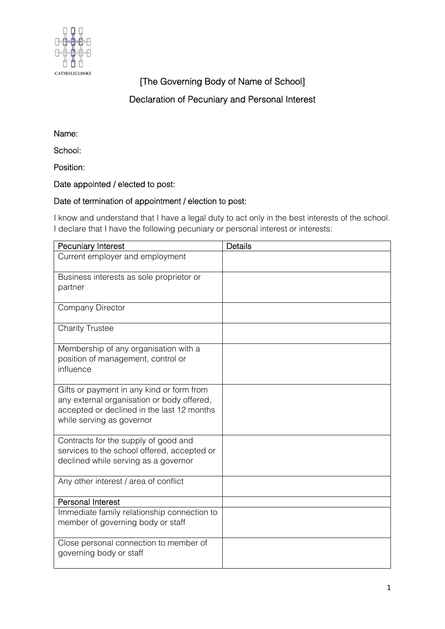

# [The Governing Body of Name of School]

## Declaration of Pecuniary and Personal Interest

Name:

School:

Position:

#### Date appointed / elected to post:

### Date of termination of appointment / election to post:

I know and understand that I have a legal duty to act only in the best interests of the school. I declare that I have the following pecuniary or personal interest or interests:

| <b>Pecuniary Interest</b>                                               | <b>Details</b> |
|-------------------------------------------------------------------------|----------------|
| Current employer and employment                                         |                |
| Business interests as sole proprietor or                                |                |
| partner                                                                 |                |
| <b>Company Director</b>                                                 |                |
| <b>Charity Trustee</b>                                                  |                |
| Membership of any organisation with a                                   |                |
| position of management, control or                                      |                |
| influence                                                               |                |
| Gifts or payment in any kind or form from                               |                |
| any external organisation or body offered,                              |                |
| accepted or declined in the last 12 months<br>while serving as governor |                |
|                                                                         |                |
| Contracts for the supply of good and                                    |                |
| services to the school offered, accepted or                             |                |
| declined while serving as a governor                                    |                |
| Any other interest / area of conflict                                   |                |
| <b>Personal Interest</b>                                                |                |
| Immediate family relationship connection to                             |                |
| member of governing body or staff                                       |                |
| Close personal connection to member of                                  |                |
| governing body or staff                                                 |                |